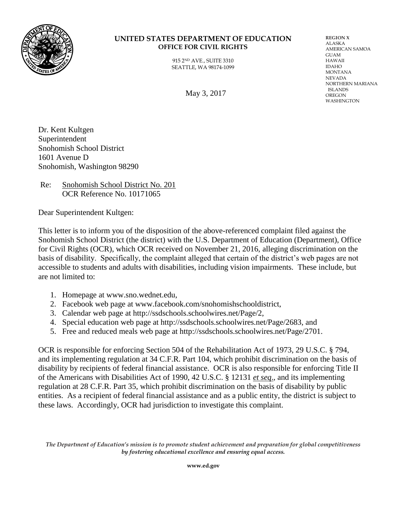

## **UNITED STATES DEPARTMENT OF EDUCATION OFFICE FOR CIVIL RIGHTS**

915 2ND AVE., SUITE 3310 SEATTLE, WA 98174-1099

May 3, 2017

**REGION X** ALASKA AMERICAN SAMOA GUAM HAWAII IDAHO MONTANA NEVADA NORTHERN MARIANA ISLANDS OREGON WASHINGTON

Dr. Kent Kultgen Superintendent Snohomish School District 1601 Avenue D Snohomish, Washington 98290

Re: Snohomish School District No. 201 OCR Reference No. 10171065

Dear Superintendent Kultgen:

This letter is to inform you of the disposition of the above-referenced complaint filed against the Snohomish School District (the district) with the U.S. Department of Education (Department), Office for Civil Rights (OCR), which OCR received on November 21, 2016, alleging discrimination on the basis of disability. Specifically, the complaint alleged that certain of the district's web pages are not accessible to students and adults with disabilities, including vision impairments. These include, but are not limited to:

- 1. Homepage at www.sno.wednet.edu,
- 2. Facebook web page at www.facebook.com/snohomishschooldistrict,
- 3. Calendar web page at http://ssdschools.schoolwires.net/Page/2,
- 4. Special education web page at http://ssdschools.schoolwires.net/Page/2683, and
- 5. Free and reduced meals web page at http://ssdschools.schoolwires.net/Page/2701.

OCR is responsible for enforcing Section 504 of the Rehabilitation Act of 1973, 29 U.S.C. § 794, and its implementing regulation at 34 C.F.R. Part 104, which prohibit discrimination on the basis of disability by recipients of federal financial assistance. OCR is also responsible for enforcing Title II of the Americans with Disabilities Act of 1990, 42 U.S.C. § 12131 *et seq*., and its implementing regulation at 28 C.F.R. Part 35, which prohibit discrimination on the basis of disability by public entities. As a recipient of federal financial assistance and as a public entity, the district is subject to these laws. Accordingly, OCR had jurisdiction to investigate this complaint.

*The Department of Education's mission is to promote student achievement and preparation for global competitiveness by fostering educational excellence and ensuring equal access.*

**www.ed.gov**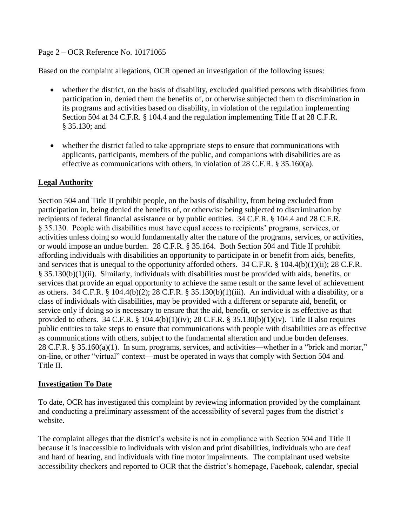## Page 2 – OCR Reference No. 10171065

Based on the complaint allegations, OCR opened an investigation of the following issues:

- whether the district, on the basis of disability, excluded qualified persons with disabilities from participation in, denied them the benefits of, or otherwise subjected them to discrimination in its programs and activities based on disability, in violation of the regulation implementing Section 504 at 34 C.F.R. § 104.4 and the regulation implementing Title II at 28 C.F.R. § 35.130; and
- whether the district failed to take appropriate steps to ensure that communications with applicants, participants, members of the public, and companions with disabilities are as effective as communications with others, in violation of  $28$  C.F.R. § 35.160(a).

## **Legal Authority**

Section 504 and Title II prohibit people, on the basis of disability, from being excluded from participation in, being denied the benefits of, or otherwise being subjected to discrimination by recipients of federal financial assistance or by public entities. 34 C.F.R. § 104.4 and 28 C.F.R. § 35.130. People with disabilities must have equal access to recipients' programs, services, or activities unless doing so would fundamentally alter the nature of the programs, services, or activities, or would impose an undue burden. 28 C.F.R. § 35.164. Both Section 504 and Title II prohibit affording individuals with disabilities an opportunity to participate in or benefit from aids, benefits, and services that is unequal to the opportunity afforded others. 34 C.F.R. § 104.4(b)(1)(ii); 28 C.F.R. § 35.130(b)(1)(ii). Similarly, individuals with disabilities must be provided with aids, benefits, or services that provide an equal opportunity to achieve the same result or the same level of achievement as others. 34 C.F.R. § 104.4(b)(2); 28 C.F.R. § 35.130(b)(1)(iii). An individual with a disability, or a class of individuals with disabilities, may be provided with a different or separate aid, benefit, or service only if doing so is necessary to ensure that the aid, benefit, or service is as effective as that provided to others. 34 C.F.R. § 104.4(b)(1)(iv); 28 C.F.R. § 35.130(b)(1)(iv). Title II also requires public entities to take steps to ensure that communications with people with disabilities are as effective as communications with others, subject to the fundamental alteration and undue burden defenses. 28 C.F.R. § 35.160(a)(1). In sum, programs, services, and activities—whether in a "brick and mortar," on-line, or other "virtual" context—must be operated in ways that comply with Section 504 and Title II.

## **Investigation To Date**

To date, OCR has investigated this complaint by reviewing information provided by the complainant and conducting a preliminary assessment of the accessibility of several pages from the district's website.

The complaint alleges that the district's website is not in compliance with Section 504 and Title II because it is inaccessible to individuals with vision and print disabilities, individuals who are deaf and hard of hearing, and individuals with fine motor impairments. The complainant used website accessibility checkers and reported to OCR that the district's homepage, Facebook, calendar, special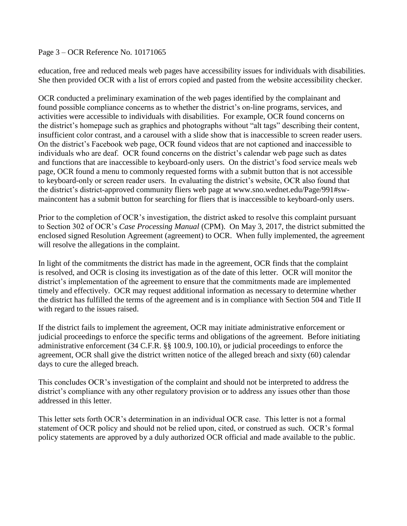Page 3 – OCR Reference No. 10171065

education, free and reduced meals web pages have accessibility issues for individuals with disabilities. She then provided OCR with a list of errors copied and pasted from the website accessibility checker.

OCR conducted a preliminary examination of the web pages identified by the complainant and found possible compliance concerns as to whether the district's on-line programs, services, and activities were accessible to individuals with disabilities. For example, OCR found concerns on the district's homepage such as graphics and photographs without "alt tags" describing their content, insufficient color contrast, and a carousel with a slide show that is inaccessible to screen reader users. On the district's Facebook web page, OCR found videos that are not captioned and inaccessible to individuals who are deaf. OCR found concerns on the district's calendar web page such as dates and functions that are inaccessible to keyboard-only users. On the district's food service meals web page, OCR found a menu to commonly requested forms with a submit button that is not accessible to keyboard-only or screen reader users. In evaluating the district's website, OCR also found that the district's district-approved community fliers web page at www.sno.wednet.edu/Page/991#swmaincontent has a submit button for searching for fliers that is inaccessible to keyboard-only users.

Prior to the completion of OCR's investigation, the district asked to resolve this complaint pursuant to Section 302 of OCR's *Case Processing Manual* (CPM). On May 3, 2017, the district submitted the enclosed signed Resolution Agreement (agreement) to OCR. When fully implemented, the agreement will resolve the allegations in the complaint.

In light of the commitments the district has made in the agreement, OCR finds that the complaint is resolved, and OCR is closing its investigation as of the date of this letter. OCR will monitor the district's implementation of the agreement to ensure that the commitments made are implemented timely and effectively. OCR may request additional information as necessary to determine whether the district has fulfilled the terms of the agreement and is in compliance with Section 504 and Title II with regard to the issues raised.

If the district fails to implement the agreement, OCR may initiate administrative enforcement or judicial proceedings to enforce the specific terms and obligations of the agreement. Before initiating administrative enforcement (34 C.F.R. §§ 100.9, 100.10), or judicial proceedings to enforce the agreement, OCR shall give the district written notice of the alleged breach and sixty (60) calendar days to cure the alleged breach.

This concludes OCR's investigation of the complaint and should not be interpreted to address the district's compliance with any other regulatory provision or to address any issues other than those addressed in this letter.

This letter sets forth OCR's determination in an individual OCR case. This letter is not a formal statement of OCR policy and should not be relied upon, cited, or construed as such. OCR's formal policy statements are approved by a duly authorized OCR official and made available to the public.